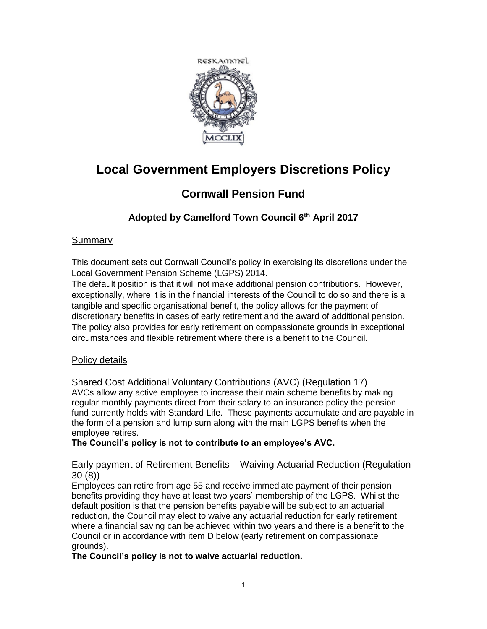

# **Local Government Employers Discretions Policy**

## **Cornwall Pension Fund**

## **Adopted by Camelford Town Council 6th April 2017**

## Summary

This document sets out Cornwall Council's policy in exercising its discretions under the Local Government Pension Scheme (LGPS) 2014.

The default position is that it will not make additional pension contributions. However, exceptionally, where it is in the financial interests of the Council to do so and there is a tangible and specific organisational benefit, the policy allows for the payment of discretionary benefits in cases of early retirement and the award of additional pension. The policy also provides for early retirement on compassionate grounds in exceptional circumstances and flexible retirement where there is a benefit to the Council.

## Policy details

Shared Cost Additional Voluntary Contributions (AVC) (Regulation 17) AVCs allow any active employee to increase their main scheme benefits by making regular monthly payments direct from their salary to an insurance policy the pension fund currently holds with Standard Life. These payments accumulate and are payable in the form of a pension and lump sum along with the main LGPS benefits when the employee retires.

## **The Council's policy is not to contribute to an employee's AVC.**

Early payment of Retirement Benefits – Waiving Actuarial Reduction (Regulation 30 (8))

Employees can retire from age 55 and receive immediate payment of their pension benefits providing they have at least two years' membership of the LGPS. Whilst the default position is that the pension benefits payable will be subject to an actuarial reduction, the Council may elect to waive any actuarial reduction for early retirement where a financial saving can be achieved within two years and there is a benefit to the Council or in accordance with item D below (early retirement on compassionate grounds).

## **The Council's policy is not to waive actuarial reduction.**